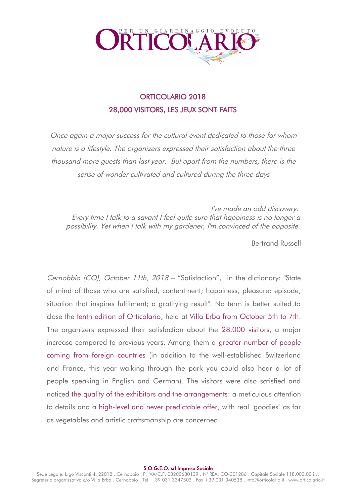

## ORTICOLARIO 2018 28,000 VISITORS, LES JEUX SONT FAITS

Once again a major success for the cultural event dedicated to those for whom nature is a lifestyle. The organizers expressed their satisfaction about the three thousand more guests than last year. But apart from the numbers, there is the sense of wonder cultivated and cultured during the three days

I've made an odd discovery. Every time I talk to a savant I feel quite sure that happiness is no longer a possibility. Yet when I talk with my gardener, I'm convinced of the opposite.

Bertrand Russell

Cernobbio (CO), October 11th, 2018 – "Satisfaction", in the dictionary: "State of mind of those who are satisfied, contentment; happiness, pleasure; episode, situation that inspires fulfilment; a gratifying result". No term is better suited to close the tenth edition of Orticolario, held at Villa Erba from October 5th to 7th. The organizers expressed their satisfaction about the 28.000 visitors, a major increase compared to previous years. Among them a greater number of people coming from foreign countries (in addition to the well-established Switzerland and France, this year walking through the park you could also hear a lot of people speaking in English and German). The visitors were also satisfied and noticed the quality of the exhibitors and the arrangements: a meticulous attention to details and a high-level and never predictable offer, with real "goodies" as far as vegetables and artistic craftsmanship are concerned.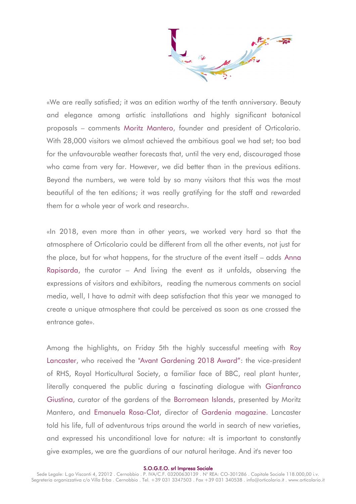«We are really satisfied; it was an edition worthy of the tenth anniversary. Beauty and elegance among artistic installations and highly significant botanical proposals – comments Moritz Mantero, founder and president of Orticolario. With 28,000 visitors we almost achieved the ambitious goal we had set; too bad for the unfavourable weather forecasts that, until the very end, discouraged those who came from very far. However, we did better than in the previous editions. Beyond the numbers, we were told by so many visitors that this was the most beautiful of the ten editions; it was really gratifying for the staff and rewarded them for a whole year of work and research».

«In 2018, even more than in other years, we worked very hard so that the atmosphere of Orticolario could be different from all the other events, not just for the place, but for what happens, for the structure of the event itself – adds Anna Rapisarda, the curator – And living the event as it unfolds, observing the expressions of visitors and exhibitors, reading the numerous comments on social media, well, I have to admit with deep satisfaction that this year we managed to create a unique atmosphere that could be perceived as soon as one crossed the entrance gate».

Among the highlights, on Friday 5th the highly successful meeting with Roy Lancaster, who received the "Avant Gardening 2018 Award": the vice-president of RHS, Royal Horticultural Society, a familiar face of BBC, real plant hunter, literally conquered the public during a fascinating dialogue with Gianfranco Giustina, curator of the gardens of the Borromean Islands, presented by Moritz Mantero, and Emanuela Rosa-Clot, director of Gardenia magazine. Lancaster told his life, full of adventurous trips around the world in search of new varieties, and expressed his unconditional love for nature: «It is important to constantly give examples, we are the guardians of our natural heritage. And it's never too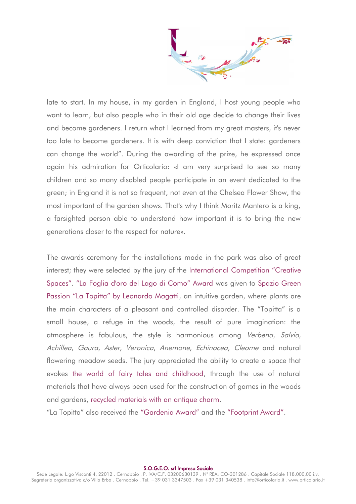late to start. In my house, in my garden in England, I host young people who want to learn, but also people who in their old age decide to change their lives and become gardeners. I return what I learned from my great masters, it's never too late to become gardeners. It is with deep conviction that I state: gardeners can change the world". During the awarding of the prize, he expressed once again his admiration for Orticolario: «I am very surprised to see so many children and so many disabled people participate in an event dedicated to the green; in England it is not so frequent, not even at the Chelsea Flower Show, the most important of the garden shows. That's why I think Moritz Mantero is a king, a farsighted person able to understand how important it is to bring the new generations closer to the respect for nature».

The awards ceremony for the installations made in the park was also of great interest; they were selected by the jury of the International Competition "Creative Spaces". "La Foglia d'oro del Lago di Como" Award was given to Spazio Green Passion "La Topitta" by Leonardo Magatti, an intuitive garden, where plants are the main characters of a pleasant and controlled disorder. The "Topitta" is a small house, a refuge in the woods, the result of pure imagination: the atmosphere is fabulous, the style is harmonious among Verbena, Salvia, Achillea, Gaura, Aster, Veronica, Anemone, Echinacea, Cleome and natural flowering meadow seeds. The jury appreciated the ability to create a space that evokes the world of fairy tales and childhood, through the use of natural materials that have always been used for the construction of games in the woods and gardens, recycled materials with an antique charm.

"La Topitta" also received the "Gardenia Award" and the "Footprint Award".